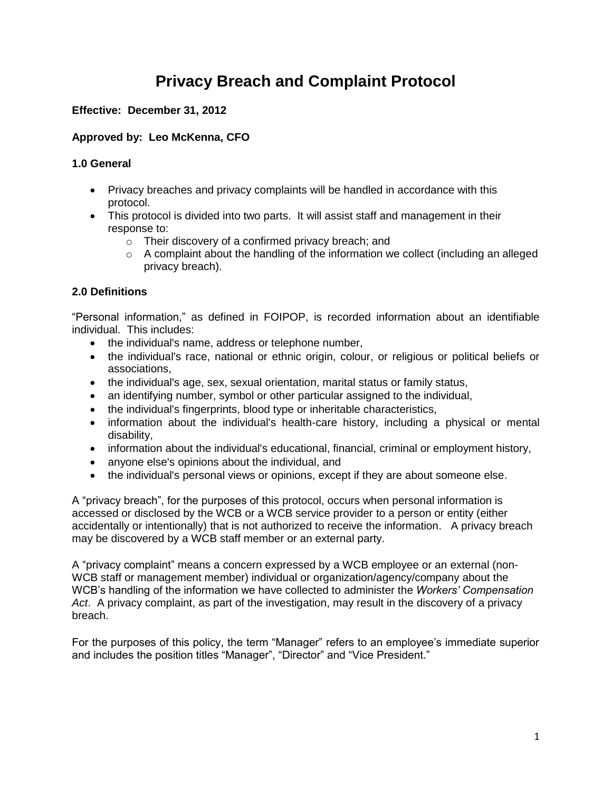# **Privacy Breach and Complaint Protocol**

# **Effective: December 31, 2012**

# **Approved by: Leo McKenna, CFO**

## **1.0 General**

- Privacy breaches and privacy complaints will be handled in accordance with this protocol.
- This protocol is divided into two parts. It will assist staff and management in their response to:
	- o Their discovery of a confirmed privacy breach; and
	- $\circ$  A complaint about the handling of the information we collect (including an alleged privacy breach).

# **2.0 Definitions**

"Personal information," as defined in FOIPOP, is recorded information about an identifiable individual. This includes:

- the individual's name, address or telephone number,
- the individual's race, national or ethnic origin, colour, or religious or political beliefs or associations,
- the individual's age, sex, sexual orientation, marital status or family status,
- an identifying number, symbol or other particular assigned to the individual,
- the individual's fingerprints, blood type or inheritable characteristics,
- information about the individual's health-care history, including a physical or mental disability,
- information about the individual's educational, financial, criminal or employment history,
- anyone else's opinions about the individual, and
- the individual's personal views or opinions, except if they are about someone else.

A "privacy breach", for the purposes of this protocol, occurs when personal information is accessed or disclosed by the WCB or a WCB service provider to a person or entity (either accidentally or intentionally) that is not authorized to receive the information. A privacy breach may be discovered by a WCB staff member or an external party.

A "privacy complaint" means a concern expressed by a WCB employee or an external (non-WCB staff or management member) individual or organization/agency/company about the WCB's handling of the information we have collected to administer the *Workers' Compensation Act*. A privacy complaint, as part of the investigation, may result in the discovery of a privacy breach.

For the purposes of this policy, the term "Manager" refers to an employee's immediate superior and includes the position titles "Manager", "Director" and "Vice President."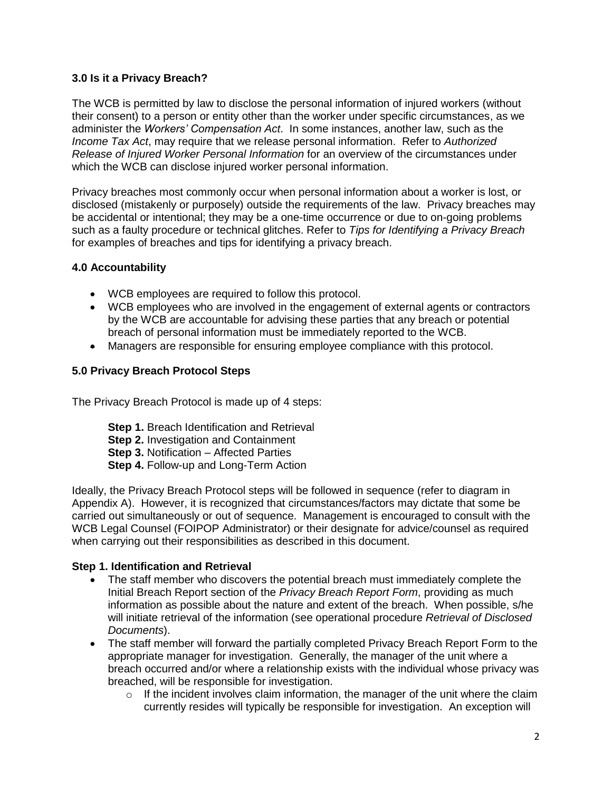## **3.0 Is it a Privacy Breach?**

The WCB is permitted by law to disclose the personal information of injured workers (without their consent) to a person or entity other than the worker under specific circumstances, as we administer the *Workers' Compensation Act*. In some instances, another law, such as the *Income Tax Act*, may require that we release personal information. Refer to *Authorized Release of Injured Worker Personal Information* for an overview of the circumstances under which the WCB can disclose injured worker personal information.

Privacy breaches most commonly occur when personal information about a worker is lost, or disclosed (mistakenly or purposely) outside the requirements of the law. Privacy breaches may be accidental or intentional; they may be a one-time occurrence or due to on-going problems such as a faulty procedure or technical glitches. Refer to *Tips for Identifying a Privacy Breach* for examples of breaches and tips for identifying a privacy breach.

## **4.0 Accountability**

- WCB employees are required to follow this protocol.
- WCB employees who are involved in the engagement of external agents or contractors by the WCB are accountable for advising these parties that any breach or potential breach of personal information must be immediately reported to the WCB.
- Managers are responsible for ensuring employee compliance with this protocol.

## **5.0 Privacy Breach Protocol Steps**

The Privacy Breach Protocol is made up of 4 steps:

- **Step 1.** Breach Identification and Retrieval
- **Step 2. Investigation and Containment**
- **Step 3.** Notification Affected Parties
- **Step 4.** Follow-up and Long-Term Action

Ideally, the Privacy Breach Protocol steps will be followed in sequence (refer to diagram in Appendix A). However, it is recognized that circumstances/factors may dictate that some be carried out simultaneously or out of sequence. Management is encouraged to consult with the WCB Legal Counsel (FOIPOP Administrator) or their designate for advice/counsel as required when carrying out their responsibilities as described in this document.

#### **Step 1. Identification and Retrieval**

- The staff member who discovers the potential breach must immediately complete the Initial Breach Report section of the *Privacy Breach Report Form*, providing as much information as possible about the nature and extent of the breach. When possible, s/he will initiate retrieval of the information (see operational procedure *Retrieval of Disclosed Documents*).
- The staff member will forward the partially completed Privacy Breach Report Form to the appropriate manager for investigation. Generally, the manager of the unit where a breach occurred and/or where a relationship exists with the individual whose privacy was breached, will be responsible for investigation.
	- $\circ$  If the incident involves claim information, the manager of the unit where the claim currently resides will typically be responsible for investigation. An exception will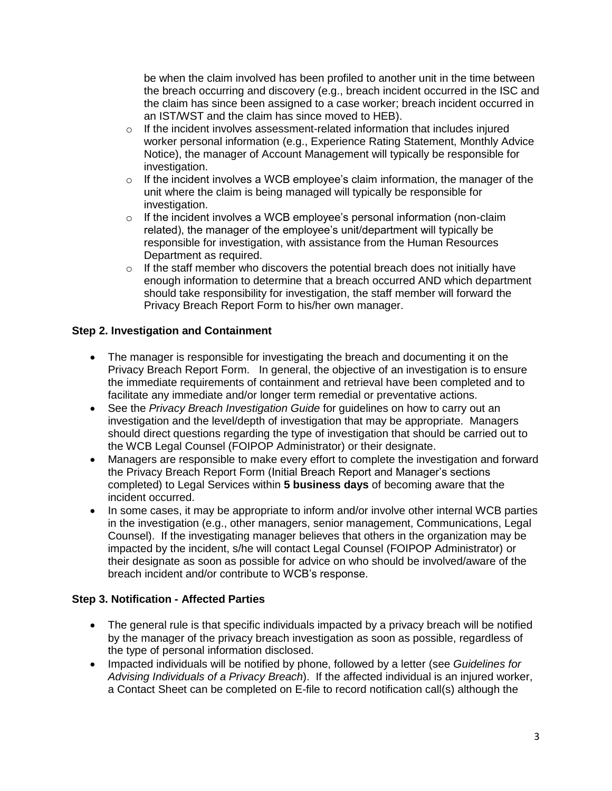be when the claim involved has been profiled to another unit in the time between the breach occurring and discovery (e.g., breach incident occurred in the ISC and the claim has since been assigned to a case worker; breach incident occurred in an IST/WST and the claim has since moved to HEB).

- $\circ$  If the incident involves assessment-related information that includes injured worker personal information (e.g., Experience Rating Statement, Monthly Advice Notice), the manager of Account Management will typically be responsible for investigation.
- $\circ$  If the incident involves a WCB employee's claim information, the manager of the unit where the claim is being managed will typically be responsible for investigation.
- $\circ$  If the incident involves a WCB employee's personal information (non-claim related), the manager of the employee's unit/department will typically be responsible for investigation, with assistance from the Human Resources Department as required.
- $\circ$  If the staff member who discovers the potential breach does not initially have enough information to determine that a breach occurred AND which department should take responsibility for investigation, the staff member will forward the Privacy Breach Report Form to his/her own manager.

#### **Step 2. Investigation and Containment**

- The manager is responsible for investigating the breach and documenting it on the Privacy Breach Report Form. In general, the objective of an investigation is to ensure the immediate requirements of containment and retrieval have been completed and to facilitate any immediate and/or longer term remedial or preventative actions.
- See the *Privacy Breach Investigation Guide* for guidelines on how to carry out an investigation and the level/depth of investigation that may be appropriate. Managers should direct questions regarding the type of investigation that should be carried out to the WCB Legal Counsel (FOIPOP Administrator) or their designate.
- Managers are responsible to make every effort to complete the investigation and forward the Privacy Breach Report Form (Initial Breach Report and Manager's sections completed) to Legal Services within **5 business days** of becoming aware that the incident occurred.
- In some cases, it may be appropriate to inform and/or involve other internal WCB parties in the investigation (e.g., other managers, senior management, Communications, Legal Counsel). If the investigating manager believes that others in the organization may be impacted by the incident, s/he will contact Legal Counsel (FOIPOP Administrator) or their designate as soon as possible for advice on who should be involved/aware of the breach incident and/or contribute to WCB's response.

## **Step 3. Notification - Affected Parties**

- The general rule is that specific individuals impacted by a privacy breach will be notified by the manager of the privacy breach investigation as soon as possible, regardless of the type of personal information disclosed.
- Impacted individuals will be notified by phone, followed by a letter (see *Guidelines for Advising Individuals of a Privacy Breach*). If the affected individual is an injured worker, a Contact Sheet can be completed on E-file to record notification call(s) although the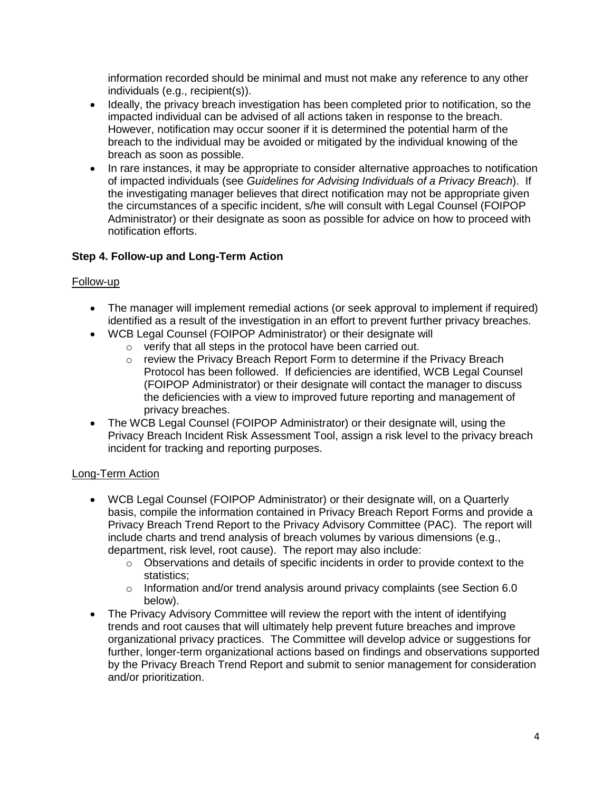information recorded should be minimal and must not make any reference to any other individuals (e.g., recipient(s)).

- Ideally, the privacy breach investigation has been completed prior to notification, so the impacted individual can be advised of all actions taken in response to the breach. However, notification may occur sooner if it is determined the potential harm of the breach to the individual may be avoided or mitigated by the individual knowing of the breach as soon as possible.
- In rare instances, it may be appropriate to consider alternative approaches to notification of impacted individuals (see *Guidelines for Advising Individuals of a Privacy Breach*). If the investigating manager believes that direct notification may not be appropriate given the circumstances of a specific incident, s/he will consult with Legal Counsel (FOIPOP Administrator) or their designate as soon as possible for advice on how to proceed with notification efforts.

## **Step 4. Follow-up and Long-Term Action**

#### Follow-up

- The manager will implement remedial actions (or seek approval to implement if required) identified as a result of the investigation in an effort to prevent further privacy breaches.
- WCB Legal Counsel (FOIPOP Administrator) or their designate will
	- o verify that all steps in the protocol have been carried out.
	- $\circ$  review the Privacy Breach Report Form to determine if the Privacy Breach Protocol has been followed. If deficiencies are identified, WCB Legal Counsel (FOIPOP Administrator) or their designate will contact the manager to discuss the deficiencies with a view to improved future reporting and management of privacy breaches.
- The WCB Legal Counsel (FOIPOP Administrator) or their designate will, using the Privacy Breach Incident Risk Assessment Tool, assign a risk level to the privacy breach incident for tracking and reporting purposes.

## Long-Term Action

- WCB Legal Counsel (FOIPOP Administrator) or their designate will, on a Quarterly basis, compile the information contained in Privacy Breach Report Forms and provide a Privacy Breach Trend Report to the Privacy Advisory Committee (PAC). The report will include charts and trend analysis of breach volumes by various dimensions (e.g., department, risk level, root cause). The report may also include:
	- $\circ$  Observations and details of specific incidents in order to provide context to the statistics;
	- o Information and/or trend analysis around privacy complaints (see Section 6.0 below).
- The Privacy Advisory Committee will review the report with the intent of identifying trends and root causes that will ultimately help prevent future breaches and improve organizational privacy practices. The Committee will develop advice or suggestions for further, longer-term organizational actions based on findings and observations supported by the Privacy Breach Trend Report and submit to senior management for consideration and/or prioritization.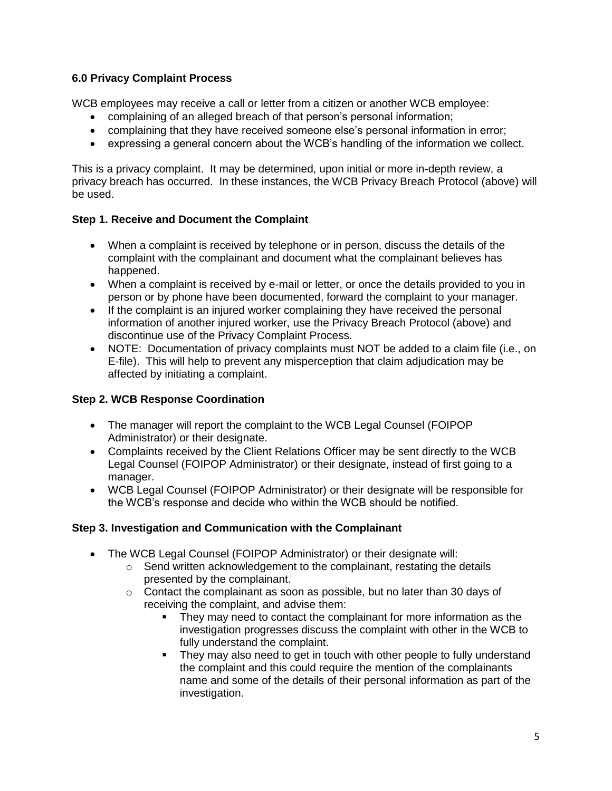# **6.0 Privacy Complaint Process**

WCB employees may receive a call or letter from a citizen or another WCB employee:

- complaining of an alleged breach of that person's personal information;
- complaining that they have received someone else's personal information in error;
- expressing a general concern about the WCB's handling of the information we collect.

This is a privacy complaint. It may be determined, upon initial or more in-depth review, a privacy breach has occurred. In these instances, the WCB Privacy Breach Protocol (above) will be used.

## **Step 1. Receive and Document the Complaint**

- When a complaint is received by telephone or in person, discuss the details of the complaint with the complainant and document what the complainant believes has happened.
- When a complaint is received by e-mail or letter, or once the details provided to you in person or by phone have been documented, forward the complaint to your manager.
- If the complaint is an injured worker complaining they have received the personal information of another injured worker, use the Privacy Breach Protocol (above) and discontinue use of the Privacy Complaint Process.
- NOTE: Documentation of privacy complaints must NOT be added to a claim file (i.e., on E-file). This will help to prevent any misperception that claim adjudication may be affected by initiating a complaint.

## **Step 2. WCB Response Coordination**

- The manager will report the complaint to the WCB Legal Counsel (FOIPOP Administrator) or their designate.
- Complaints received by the Client Relations Officer may be sent directly to the WCB Legal Counsel (FOIPOP Administrator) or their designate, instead of first going to a manager.
- WCB Legal Counsel (FOIPOP Administrator) or their designate will be responsible for the WCB's response and decide who within the WCB should be notified.

## **Step 3. Investigation and Communication with the Complainant**

- The WCB Legal Counsel (FOIPOP Administrator) or their designate will:
	- o Send written acknowledgement to the complainant, restating the details presented by the complainant.
	- o Contact the complainant as soon as possible, but no later than 30 days of receiving the complaint, and advise them:
		- They may need to contact the complainant for more information as the investigation progresses discuss the complaint with other in the WCB to fully understand the complaint.
		- They may also need to get in touch with other people to fully understand the complaint and this could require the mention of the complainants name and some of the details of their personal information as part of the investigation.